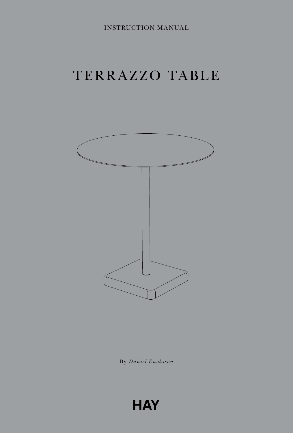# [TERRAZZO TABLE](https://www.my-deco-shop.com/product.php?id_product=1624)



By *Daniel Enoksson*

**HAY**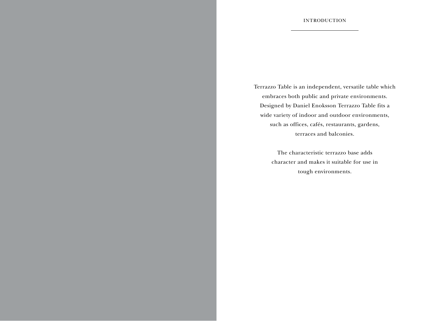Terrazzo Table is an independent, versatile table which embraces both public and private environments. Designed by Daniel Enoksson Terrazzo Table fits a wide variety of indoor and outdoor environments, such as offices, cafés, restaurants, gardens, terraces and balconies.

> The characteristic terrazzo base adds character and makes it suitable for use in tough environments.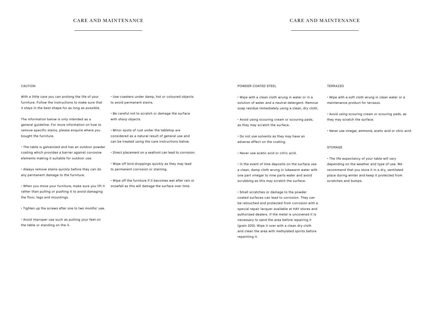# CARE AND MAINTENANCE CARE AND MAINTENANCE

#### CAUTION

With a little care you can prolong the life of your furniture. Follow the instructions to make sure that it stays in the best shape for as long as possible.

The information below is only intended as a general guideline. For more information on how to remove specific stains, please enquire where you bought the furniture.

• The table is galvanized and has an outdoor powder coating which provides a barrier against corrosive elements making it suitable for outdoor use.

• Always remove stains quickly before they can do any permanent damage to the furniture.

• When you move your furniture, make sure you lift it rather than pulling or pushing it to avoid damaging the floor, legs and mountings.

• Tighten up the screws after one to two months' use.

• Avoid improper use such as putting your feet on the table or standing on the it.

• Use coasters under damp, hot or coloured objects to avoid permanent stains.

• Be careful not to scratch or damage the surface with sharp objects.

• Minor spots of rust under the tabletop are considered as a natural result of general use and can be treated using the care instructions below.

• Direct placement on a seafront can lead to corrosion.

• Wipe off bird droppings quickly as they may lead to permanent corrosion or staining.

• Wipe off the furniture if it becomes wet after rain or snowfall as this will damage the surface over time.

### POWDER COATED STEEL

• Wipe with a clean cloth wrung in water or in a solution of water and a neutral detergent. Remove soap residue immediately using a clean, dry cloth.

• Avoid using scouring cream or scouring pads, as they may scratch the surface.

• Do not use solvents as they may have an adverse effect on the coating.

• Never use acetic acid or citric acid.

• In the event of lime deposits on the surface use a clean, damp cloth wrung in lukewarm water with one part vinegar to nine parts water and avoid scrubbing as this may scratch the surface.

• Small scratches or damage to the powder coated surfaces can lead to corrosion. They can be retouched and protected from corrosion with a special repair lacquer available at HAY stores and authorized dealers. If the metal is uncovered it is necessary to sand the area before repairing it (grain 220). Wipe it over with a clean dry cloth and clean the area with methylated spirits before repainting it.

#### TERRAZZO

• Wipe with a soft cloth wrung in clean water or a maintenance product for terrazzo.

• Avoid using scouring cream or scouring pads, as they may scratch the surface.

• Never use vinegar, ammonia, acetic acid or citric acid.

#### STORAGE

• The life expectancy of your table will vary depending on the weather and type of use. We recommend that you store it in a dry, ventilated place during winter and keep it protected from scratches and bumps.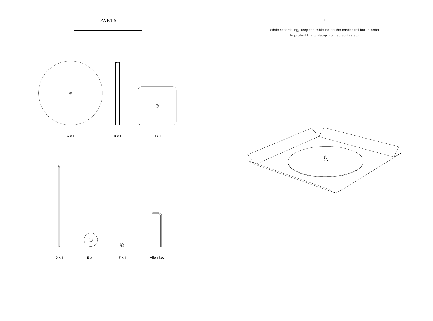

# While assembling, keep the table inside the cardboard box in order to protect the tabletop from scratches etc.





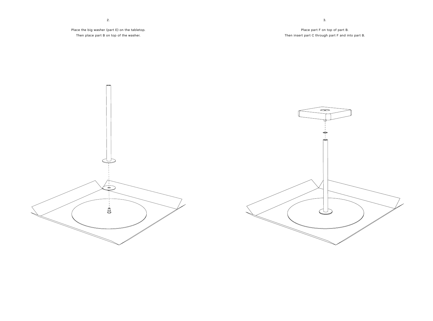Place the big washer (part E) on the tabletop. Then place part B on top of the washer.

3.

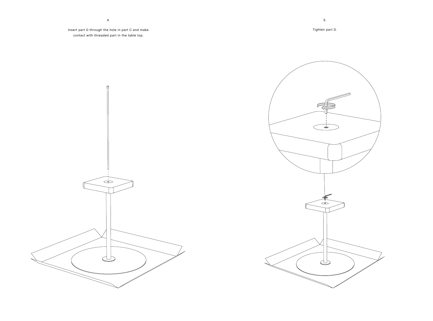Insert part D through the hole in part C and make contact with threaded part in the table top.

 $\Box$ 

 $\begin{array}{c}\n\hline\n-\hline\n\end{array}$ 





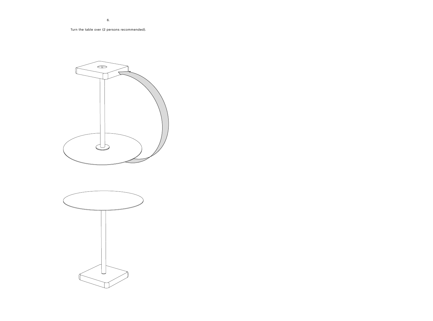Turn the table over (2 persons recommended).